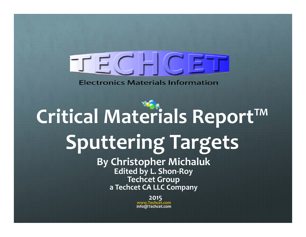

**Electronics Materials Information** 

#### **Critical Materials Report™ Sputtering Targets By Christopher Michaluk Edited by L. Shon‐Roy Techcet Group a Techcet CA LLC Company 2015www.Techcet.cominfo@Techcet.com**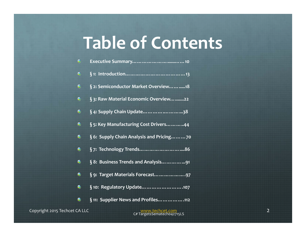## **Table of Contents**

| €         |                                          |
|-----------|------------------------------------------|
| €         |                                          |
| €         | § 2: Semiconductor Market Overview18     |
| €         | § 3: Raw Material Economic Overview 22   |
| 6         | § 4: Supply Chain Update38               |
| €         | § 5: Key Manufacturing Cost Drivers44    |
| €         | § 6: Supply Chain Analysis and Pricing70 |
| €         | §7: Technology Trends86                  |
| 6         | § 8: Business Trends and Analysis   91   |
| €         | § 9: Target Materials Forecast97         |
| €         | § 10: Regulatory Update107               |
| $\bullet$ | §11: Supplier News and Profiles112       |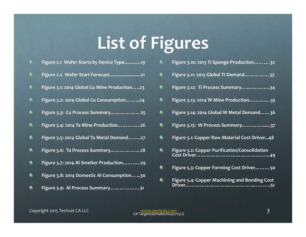# **List of Figures**

| €         | Figure 2.1 Wafer Starts by Device Type19     |
|-----------|----------------------------------------------|
| €         | Figure 2.2 Wafer Start Forecast21            |
| €         | Figure 3.1: 2014 Global Cu Mine Production23 |
| G         | Figure 3.2: 2014 Global Cu Consumption24     |
| $\bullet$ | Figure 3.3: Cu Process Summary 25            |
| ⊛         | Figure 3.4: 2014 Ta Mine Production26        |
| €         | Figure 3.5: 2014 Global Ta Metal Demand27    |
| $\bullet$ | Figure 3.6: Ta Process Summary 28            |
| €         | Figure 3.7: 2014 Al Smelter Production29     |

- **Figure 3.8: 2014 Domestic Al Consumption…...30**  $\bullet$
- $\bullet$ **Figure 3.9: Al Process Summary………………31**

| $\bullet$ | Figure 3.10: 2013 Ti Sponge Production32             |
|-----------|------------------------------------------------------|
| 6         | Figure 3.11: 2013 Global Ti Demand33                 |
| $\bullet$ | Figure 3.12: Ti Process Summary     34               |
| $\bullet$ | Figure 3.13: 2014 W Mine Production35                |
| $\bullet$ | Figure 3.14: 2014 Global W Metal Demand 36           |
| 8         | Figure 3.15: W Process Summary37                     |
| $\bullet$ | Figure 5.1: Copper Raw Material Cost Driver48        |
| $\bullet$ | <b>Figure 5.2: Copper Purification/Consolidation</b> |
| $\bullet$ | Figure 5.3: Copper Forming Cost Driver50             |
| $\bullet$ | Figure 5.4: Copper Machining and Bonding Cost        |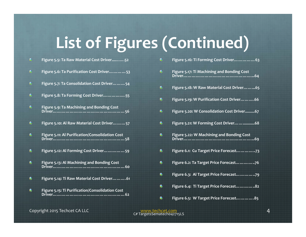# **List of Figures (Continued)**

|   | Figure 5.5: Ta Raw Material Cost Driver52       |           | Figure 5.16: Ti Forming Cost Driver 63     |  |
|---|-------------------------------------------------|-----------|--------------------------------------------|--|
|   | Figure 5.6: Ta Purification Cost Driver53       | 6         | Figure 5.17: Ti Machining and Bonding Cost |  |
| € | Figure 5.7: Ta Consolidation Cost Driver 54     | $\bullet$ | Figure 5.18: W Raw Material Cost Driver65  |  |
| € | Figure 5.8: Ta Forming Cost Driver55            | $\bullet$ | Figure 5.19: W Purification Cost Driver66  |  |
| G | Figure 5.9: Ta Machining and Bonding Cost       | $\bullet$ | Figure 5.20: W Consolidation Cost Driver67 |  |
| € | Figure 5.10: Al Raw Material Cost Driver 57     | $\bullet$ | Figure 5.21: W Forming Cost Driver  68     |  |
|   | Figure 5.11: Al Purification/Consolidation Cost | $\bullet$ | Figure 5.22: W Machining and Bonding Cost  |  |
| € | Figure 5.12: Al Forming Cost Driver59           | $\bullet$ | Figure 6.1: Cu Target Price Forecast73     |  |
|   | Figure 5.13: Al Machining and Bonding Cost      | $\bullet$ | Figure 6.2: Ta Target Price Forecast76     |  |
| € | Figure 5.14: Ti Raw Material Cost Driver61      | 鱼         | Figure 6.3: Al Target Price Forecast79     |  |
|   | Figure 5.15: Ti Purification/Consolidation Cost | $\bullet$ | Figure 6.4: Ti Target Price Forecast82     |  |
|   |                                                 | €         | Figure 6.5: W Target Price Forecast85      |  |

Copyright <sup>2015</sup> Techcet CA LLC www.techcet.com <sup>4</sup> C# TargetsSematech042715LS

**Figure 5.18: <sup>W</sup> Raw Material Cost Driver……...65**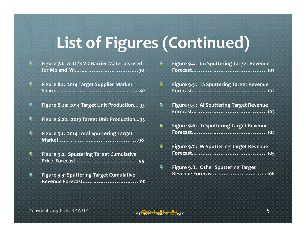#### **List of Figures (Continued)**

- $\bullet$ **Figure 7.1: ALD / CVD Barrier Materials used for M0 and M1…..………………………….90**
- **Figure 8.1: 2014 Target Supplier Market**  $\bullet$ **Share………………………………………...92**
- $\bullet$ **Figure 8.2a: 2014 Target Unit Production…93**
- $\bullet$ **Figure 6.2b: 2019 Target Unit Production...93**
- $\left( 5\right)$ **Figure 9.1: 2014 Total Sputtering Target Market………………..…………………….98**
- $\bullet$ **Figure 9.2: Sputtering Target Cumulative Price Forecast………………………..…….99**
- $\circledast$ **Figure 9.3: Sputtering Target Cumulative Revenue Forecast………………………….100**

| G | Figure 9.4: Cu Sputtering Target Revenue        |
|---|-------------------------------------------------|
| G | <b>Figure 9.5: Ta Sputtering Target Revenue</b> |
| G | <b>Figure 9.5: Al Sputtering Target Revenue</b> |
| € | Figure 9.6: Ti Sputtering Target Revenue        |
| € | <b>Figure 9.7: W Sputtering Target Revenue</b>  |
| € | Figure 9.8: Other Sputtering Target             |